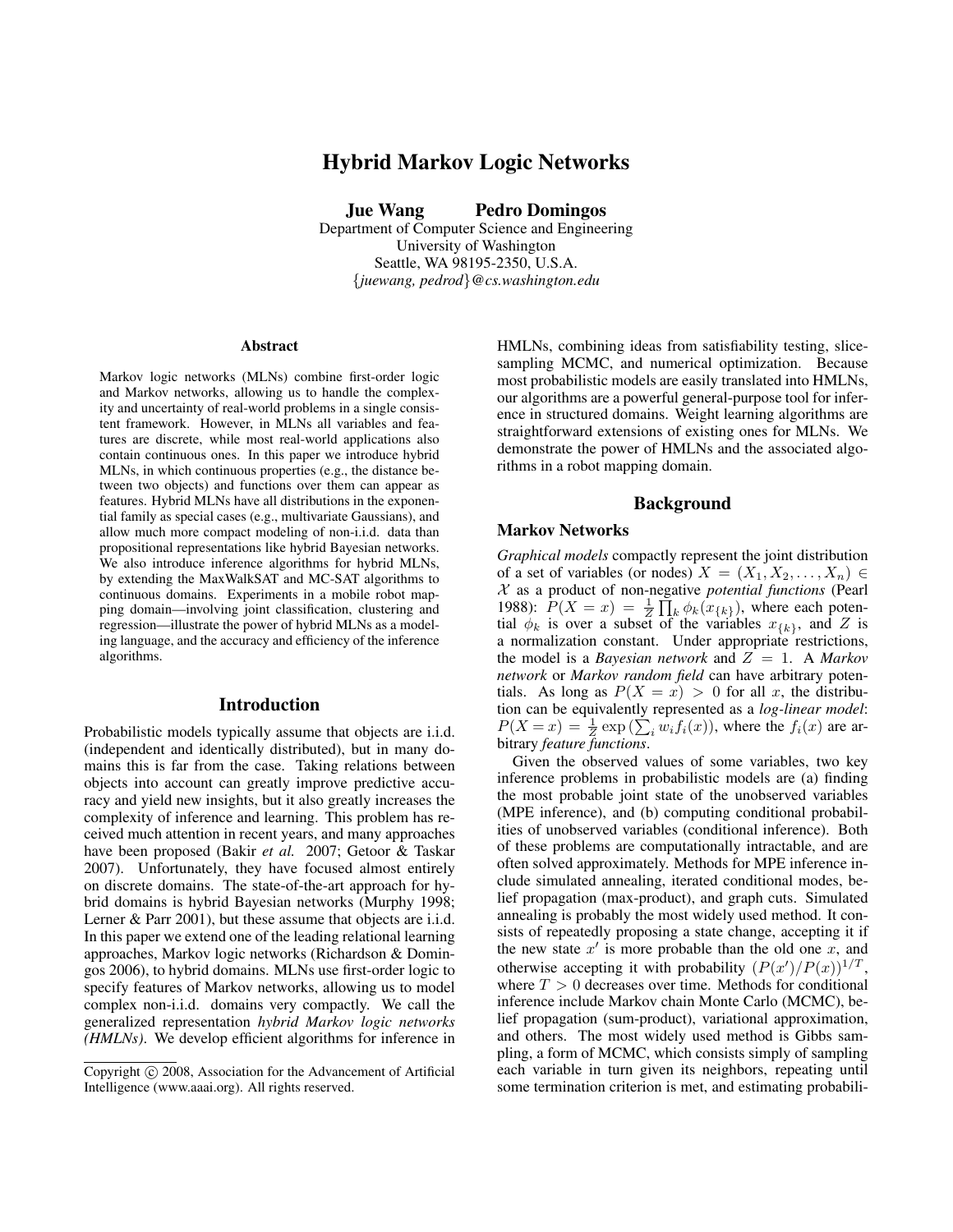# Hybrid Markov Logic Networks

Jue Wang Pedro Domingos

Department of Computer Science and Engineering University of Washington Seattle, WA 98195-2350, U.S.A. {*juewang, pedrod*}*@cs.washington.edu*

#### Abstract

Markov logic networks (MLNs) combine first-order logic and Markov networks, allowing us to handle the complexity and uncertainty of real-world problems in a single consistent framework. However, in MLNs all variables and features are discrete, while most real-world applications also contain continuous ones. In this paper we introduce hybrid MLNs, in which continuous properties (e.g., the distance between two objects) and functions over them can appear as features. Hybrid MLNs have all distributions in the exponential family as special cases (e.g., multivariate Gaussians), and allow much more compact modeling of non-i.i.d. data than propositional representations like hybrid Bayesian networks. We also introduce inference algorithms for hybrid MLNs, by extending the MaxWalkSAT and MC-SAT algorithms to continuous domains. Experiments in a mobile robot mapping domain—involving joint classification, clustering and regression—illustrate the power of hybrid MLNs as a modeling language, and the accuracy and efficiency of the inference algorithms.

# Introduction

Probabilistic models typically assume that objects are i.i.d. (independent and identically distributed), but in many domains this is far from the case. Taking relations between objects into account can greatly improve predictive accuracy and yield new insights, but it also greatly increases the complexity of inference and learning. This problem has received much attention in recent years, and many approaches have been proposed (Bakir *et al.* 2007; Getoor & Taskar 2007). Unfortunately, they have focused almost entirely on discrete domains. The state-of-the-art approach for hybrid domains is hybrid Bayesian networks (Murphy 1998; Lerner & Parr 2001), but these assume that objects are i.i.d. In this paper we extend one of the leading relational learning approaches, Markov logic networks (Richardson & Domingos 2006), to hybrid domains. MLNs use first-order logic to specify features of Markov networks, allowing us to model complex non-i.i.d. domains very compactly. We call the generalized representation *hybrid Markov logic networks (HMLNs)*. We develop efficient algorithms for inference in HMLNs, combining ideas from satisfiability testing, slicesampling MCMC, and numerical optimization. Because most probabilistic models are easily translated into HMLNs, our algorithms are a powerful general-purpose tool for inference in structured domains. Weight learning algorithms are straightforward extensions of existing ones for MLNs. We demonstrate the power of HMLNs and the associated algorithms in a robot mapping domain.

#### Background

#### Markov Networks

*Graphical models* compactly represent the joint distribution of a set of variables (or nodes)  $X = (X_1, X_2, \ldots, X_n) \in$ X as a product of non-negative *potential functions* (Pearl 1988):  $\overline{P}(X = x) = \frac{1}{Z}$ eg  $k \phi_k(x_{\{k\}})$ , where each potential  $\phi_k$  is over a subset of the variables  $x_{\{k\}}$ , and Z is a normalization constant. Under appropriate restrictions, the model is a *Bayesian network* and  $Z = 1$ . A *Markov network* or *Markov random field* can have arbitrary potentials. As long as  $P(X = x) > 0$  for all x, the distribution can be equivalently represented as a *log-linear model*: tion can be equivalently represented as a *log-linear model*:<br> $P(X = x) = \frac{1}{Z} \exp(\sum_i w_i f_i(x))$ , where the  $f_i(x)$  are arbitrary *feature functions*.

Given the observed values of some variables, two key inference problems in probabilistic models are (a) finding the most probable joint state of the unobserved variables (MPE inference), and (b) computing conditional probabilities of unobserved variables (conditional inference). Both of these problems are computationally intractable, and are often solved approximately. Methods for MPE inference include simulated annealing, iterated conditional modes, belief propagation (max-product), and graph cuts. Simulated annealing is probably the most widely used method. It consists of repeatedly proposing a state change, accepting it if the new state  $x'$  is more probable than the old one  $x$ , and otherwise accepting it with probability  $(P(x')/P(x))^{1/T}$ , where  $T > 0$  decreases over time. Methods for conditional inference include Markov chain Monte Carlo (MCMC), belief propagation (sum-product), variational approximation, and others. The most widely used method is Gibbs sampling, a form of MCMC, which consists simply of sampling each variable in turn given its neighbors, repeating until some termination criterion is met, and estimating probabili-

Copyright © 2008, Association for the Advancement of Artificial Intelligence (www.aaai.org). All rights reserved.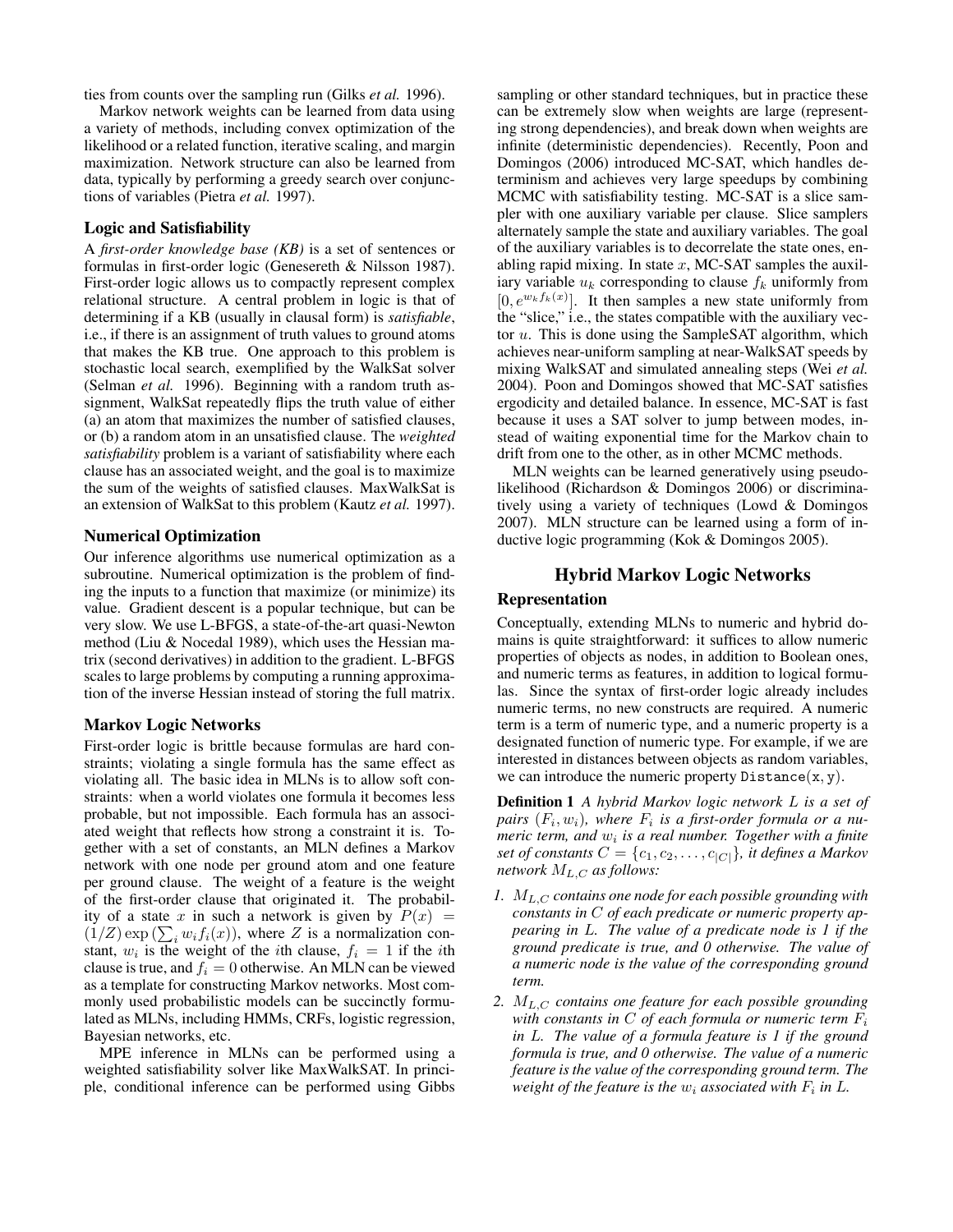ties from counts over the sampling run (Gilks *et al.* 1996).

Markov network weights can be learned from data using a variety of methods, including convex optimization of the likelihood or a related function, iterative scaling, and margin maximization. Network structure can also be learned from data, typically by performing a greedy search over conjunctions of variables (Pietra *et al.* 1997).

#### Logic and Satisfiability

A *first-order knowledge base (KB)* is a set of sentences or formulas in first-order logic (Genesereth & Nilsson 1987). First-order logic allows us to compactly represent complex relational structure. A central problem in logic is that of determining if a KB (usually in clausal form) is *satisfiable*, i.e., if there is an assignment of truth values to ground atoms that makes the KB true. One approach to this problem is stochastic local search, exemplified by the WalkSat solver (Selman *et al.* 1996). Beginning with a random truth assignment, WalkSat repeatedly flips the truth value of either (a) an atom that maximizes the number of satisfied clauses, or (b) a random atom in an unsatisfied clause. The *weighted satisfiability* problem is a variant of satisfiability where each clause has an associated weight, and the goal is to maximize the sum of the weights of satisfied clauses. MaxWalkSat is an extension of WalkSat to this problem (Kautz *et al.* 1997).

# Numerical Optimization

Our inference algorithms use numerical optimization as a subroutine. Numerical optimization is the problem of finding the inputs to a function that maximize (or minimize) its value. Gradient descent is a popular technique, but can be very slow. We use L-BFGS, a state-of-the-art quasi-Newton method (Liu & Nocedal 1989), which uses the Hessian matrix (second derivatives) in addition to the gradient. L-BFGS scales to large problems by computing a running approximation of the inverse Hessian instead of storing the full matrix.

#### Markov Logic Networks

First-order logic is brittle because formulas are hard constraints; violating a single formula has the same effect as violating all. The basic idea in MLNs is to allow soft constraints: when a world violates one formula it becomes less probable, but not impossible. Each formula has an associated weight that reflects how strong a constraint it is. Together with a set of constants, an MLN defines a Markov network with one node per ground atom and one feature per ground clause. The weight of a feature is the weight of the first-order clause that originated it. The probability of a state x in such a network is given by  $P(x) =$ ity of a state x in such a network is given by  $P(x) = (1/Z) \exp(\sum_i w_i f_i(x))$ , where Z is a normalization constant,  $w_i$  is the weight of the *i*th clause,  $f_i = 1$  if the *i*th clause is true, and  $f_i = 0$  otherwise. An MLN can be viewed as a template for constructing Markov networks. Most commonly used probabilistic models can be succinctly formulated as MLNs, including HMMs, CRFs, logistic regression, Bayesian networks, etc.

MPE inference in MLNs can be performed using a weighted satisfiability solver like MaxWalkSAT. In principle, conditional inference can be performed using Gibbs

sampling or other standard techniques, but in practice these can be extremely slow when weights are large (representing strong dependencies), and break down when weights are infinite (deterministic dependencies). Recently, Poon and Domingos (2006) introduced MC-SAT, which handles determinism and achieves very large speedups by combining MCMC with satisfiability testing. MC-SAT is a slice sampler with one auxiliary variable per clause. Slice samplers alternately sample the state and auxiliary variables. The goal of the auxiliary variables is to decorrelate the state ones, enabling rapid mixing. In state  $x$ , MC-SAT samples the auxiliary variable  $u_k$  corresponding to clause  $f_k$  uniformly from  $[0, e^{w_k f_k(x)}]$ . It then samples a new state uniformly from the "slice," i.e., the states compatible with the auxiliary vector  $u$ . This is done using the SampleSAT algorithm, which achieves near-uniform sampling at near-WalkSAT speeds by mixing WalkSAT and simulated annealing steps (Wei *et al.* 2004). Poon and Domingos showed that MC-SAT satisfies ergodicity and detailed balance. In essence, MC-SAT is fast because it uses a SAT solver to jump between modes, instead of waiting exponential time for the Markov chain to drift from one to the other, as in other MCMC methods.

MLN weights can be learned generatively using pseudolikelihood (Richardson & Domingos 2006) or discriminatively using a variety of techniques (Lowd & Domingos 2007). MLN structure can be learned using a form of inductive logic programming (Kok & Domingos 2005).

## Hybrid Markov Logic Networks

# Representation

Conceptually, extending MLNs to numeric and hybrid domains is quite straightforward: it suffices to allow numeric properties of objects as nodes, in addition to Boolean ones, and numeric terms as features, in addition to logical formulas. Since the syntax of first-order logic already includes numeric terms, no new constructs are required. A numeric term is a term of numeric type, and a numeric property is a designated function of numeric type. For example, if we are interested in distances between objects as random variables, we can introduce the numeric property  $Distance(x, y)$ .

Definition 1 *A hybrid Markov logic network* L *is a set of*  $pairs$   $(F_i, w_i)$ , where  $F_i$  is a first-order formula or a numeric term, and  $w_i$  is a real number. Together with a finite *set of constants*  $C = \{c_1, c_2, \ldots, c_{|C|}\}$ *, it defines a Markov network*  $M_{L,C}$  *as follows:* 

- *1.* ML,C *contains one node for each possible grounding with constants in* C *of each predicate or numeric property appearing in* L*. The value of a predicate node is 1 if the ground predicate is true, and 0 otherwise. The value of a numeric node is the value of the corresponding ground term.*
- *2.* ML,C *contains one feature for each possible grounding with constants in* C *of each formula or numeric term* F<sup>i</sup> *in* L*. The value of a formula feature is 1 if the ground formula is true, and 0 otherwise. The value of a numeric feature is the value of the corresponding ground term. The* weight of the feature is the  $w_i$  associated with  $F_i$  in  $L$ .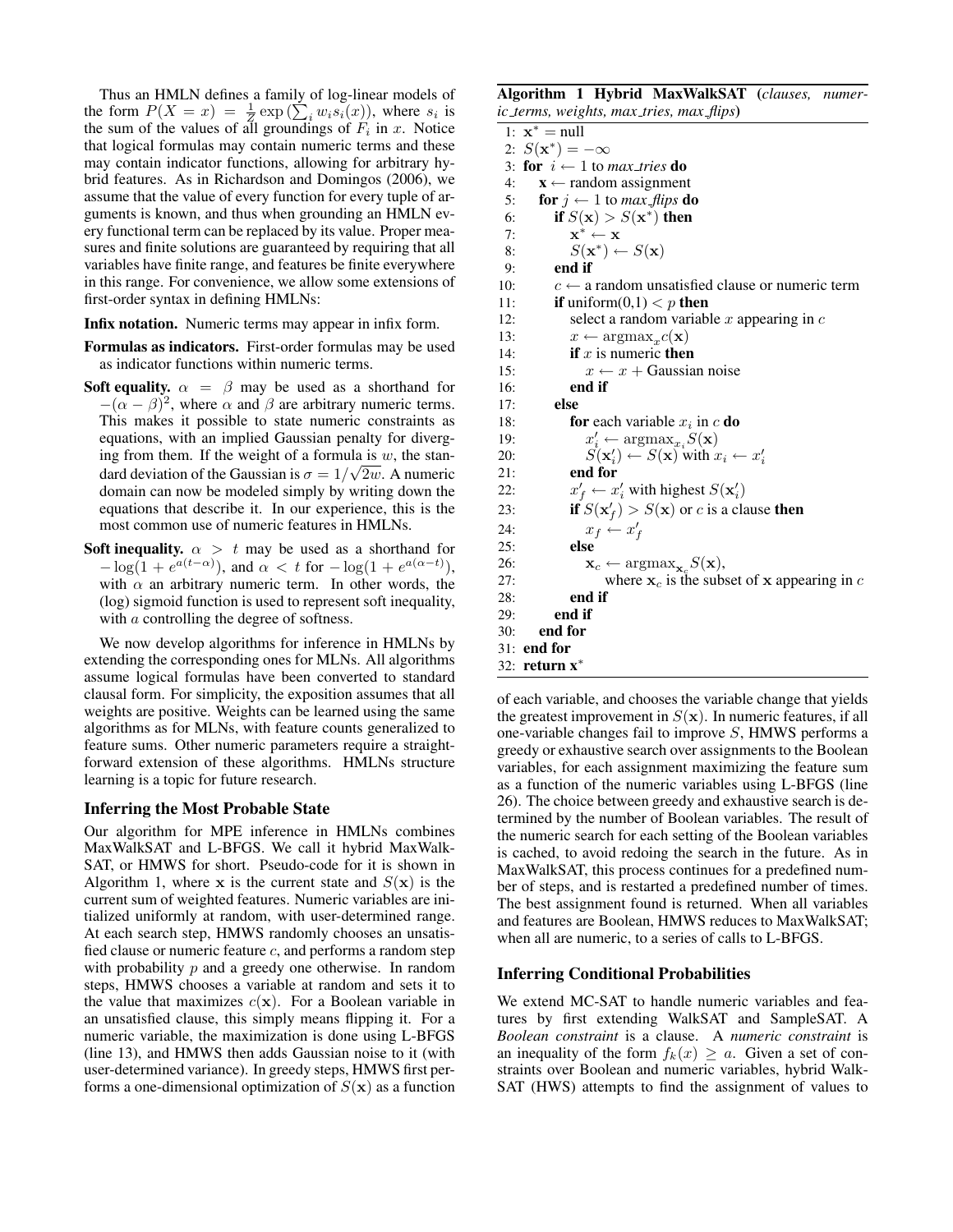Thus an HMLN defines a family of log-linear models of Thus an HMLN defines a family of log-linear models of<br>the form  $P(X = x) = \frac{1}{Z} \exp(\sum_i w_i s_i(x))$ , where  $s_i$  is the sum of the values of all groundings of  $F_i$  in x. Notice that logical formulas may contain numeric terms and these may contain indicator functions, allowing for arbitrary hybrid features. As in Richardson and Domingos (2006), we assume that the value of every function for every tuple of arguments is known, and thus when grounding an HMLN every functional term can be replaced by its value. Proper measures and finite solutions are guaranteed by requiring that all variables have finite range, and features be finite everywhere in this range. For convenience, we allow some extensions of first-order syntax in defining HMLNs:

Infix notation. Numeric terms may appear in infix form.

- Formulas as indicators. First-order formulas may be used as indicator functions within numeric terms.
- Soft equality.  $\alpha = \beta$  may be used as a shorthand for  $-(\alpha - \beta)^2$ , where  $\alpha$  and  $\beta$  are arbitrary numeric terms. This makes it possible to state numeric constraints as equations, with an implied Gaussian penalty for diverging from them. If the weight of a formula is  $w$ , the standard deviation of the Gaussian is  $\sigma = 1/\sqrt{2w}$ . A numeric domain can now be modeled simply by writing down the equations that describe it. In our experience, this is the most common use of numeric features in HMLNs.
- **Soft inequality.**  $\alpha > t$  may be used as a shorthand for  $-\log(1 + e^{a(t-\alpha)})$ , and  $\alpha < t$  for  $-\log(1 + e^{a(\alpha-t)})$ , with  $\alpha$  an arbitrary numeric term. In other words, the (log) sigmoid function is used to represent soft inequality, with *a* controlling the degree of softness.

We now develop algorithms for inference in HMLNs by extending the corresponding ones for MLNs. All algorithms assume logical formulas have been converted to standard clausal form. For simplicity, the exposition assumes that all weights are positive. Weights can be learned using the same algorithms as for MLNs, with feature counts generalized to feature sums. Other numeric parameters require a straightforward extension of these algorithms. HMLNs structure learning is a topic for future research.

### Inferring the Most Probable State

Our algorithm for MPE inference in HMLNs combines MaxWalkSAT and L-BFGS. We call it hybrid MaxWalk-SAT, or HMWS for short. Pseudo-code for it is shown in Algorithm 1, where x is the current state and  $S(\mathbf{x})$  is the current sum of weighted features. Numeric variables are initialized uniformly at random, with user-determined range. At each search step, HMWS randomly chooses an unsatisfied clause or numeric feature  $c$ , and performs a random step with probability  $p$  and a greedy one otherwise. In random steps, HMWS chooses a variable at random and sets it to the value that maximizes  $c(\mathbf{x})$ . For a Boolean variable in an unsatisfied clause, this simply means flipping it. For a numeric variable, the maximization is done using L-BFGS (line 13), and HMWS then adds Gaussian noise to it (with user-determined variance). In greedy steps, HMWS first performs a one-dimensional optimization of  $S(\mathbf{x})$  as a function

Algorithm 1 Hybrid MaxWalkSAT (*clauses, numeric terms, weights, max tries, max flips*)

|     | 1: $\mathbf{x}^* = \text{null}$                                        |
|-----|------------------------------------------------------------------------|
|     | 2: $S(x^*) = -\infty$                                                  |
|     | 3: for $i \leftarrow 1$ to max_tries do                                |
| 4:  | $\mathbf{x} \leftarrow$ random assignment                              |
| 5:  | <b>for</b> $j \leftarrow 1$ to <i>max_flips</i> <b>do</b>              |
| 6:  | if $S(\mathbf{x}) > S(\mathbf{x}^*)$ then                              |
| 7:  | $\mathbf{x}^* \leftarrow \mathbf{x}$                                   |
| 8:  | $S(\mathbf{x}^*) \leftarrow S(\mathbf{x})$                             |
| 9:  | end if                                                                 |
| 10: | $c \leftarrow$ a random unsatisfied clause or numeric term             |
| 11: | <b>if</b> uniform(0,1) $\lt p$ <b>then</b>                             |
| 12: | select a random variable x appearing in $c$                            |
| 13: | $x \leftarrow \text{argmax}_x c(\mathbf{x})$                           |
| 14: | <b>if</b> x is numeric <b>then</b>                                     |
| 15: | $x \leftarrow x +$ Gaussian noise                                      |
| 16: | end if                                                                 |
| 17: | else                                                                   |
| 18: | <b>for</b> each variable $x_i$ in c <b>do</b>                          |
| 19: | $x'_i \leftarrow \text{argmax}_{x_i} S(\mathbf{x})$                    |
| 20: | $S(\mathbf{x}'_i) \leftarrow S(\mathbf{x})$ with $x_i \leftarrow x'_i$ |
| 21: | end for                                                                |
| 22: | $x'_{f} \leftarrow x'_{i}$ with highest $S(\mathbf{x}'_{i})$           |
| 23: | if $S(\mathbf{x}'_f) > S(\mathbf{x})$ or c is a clause then            |
| 24: | $x_f \leftarrow x'_f$                                                  |
| 25: | else                                                                   |
| 26: | $\mathbf{x}_c \leftarrow \arg\!\max_{\mathbf{x}_c} S(\mathbf{x}),$     |
| 27: | where $x_c$ is the subset of x appearing in c                          |
| 28: | end if                                                                 |
| 29: | end if                                                                 |
| 30: | end for                                                                |
|     | 31: <b>end for</b>                                                     |
|     | 32: return $x^*$                                                       |

of each variable, and chooses the variable change that yields the greatest improvement in  $S(\mathbf{x})$ . In numeric features, if all one-variable changes fail to improve S, HMWS performs a greedy or exhaustive search over assignments to the Boolean variables, for each assignment maximizing the feature sum as a function of the numeric variables using L-BFGS (line 26). The choice between greedy and exhaustive search is determined by the number of Boolean variables. The result of the numeric search for each setting of the Boolean variables is cached, to avoid redoing the search in the future. As in MaxWalkSAT, this process continues for a predefined number of steps, and is restarted a predefined number of times. The best assignment found is returned. When all variables and features are Boolean, HMWS reduces to MaxWalkSAT; when all are numeric, to a series of calls to L-BFGS.

### Inferring Conditional Probabilities

We extend MC-SAT to handle numeric variables and features by first extending WalkSAT and SampleSAT. A *Boolean constraint* is a clause. A *numeric constraint* is an inequality of the form  $f_k(x) \ge a$ . Given a set of constraints over Boolean and numeric variables, hybrid Walk-SAT (HWS) attempts to find the assignment of values to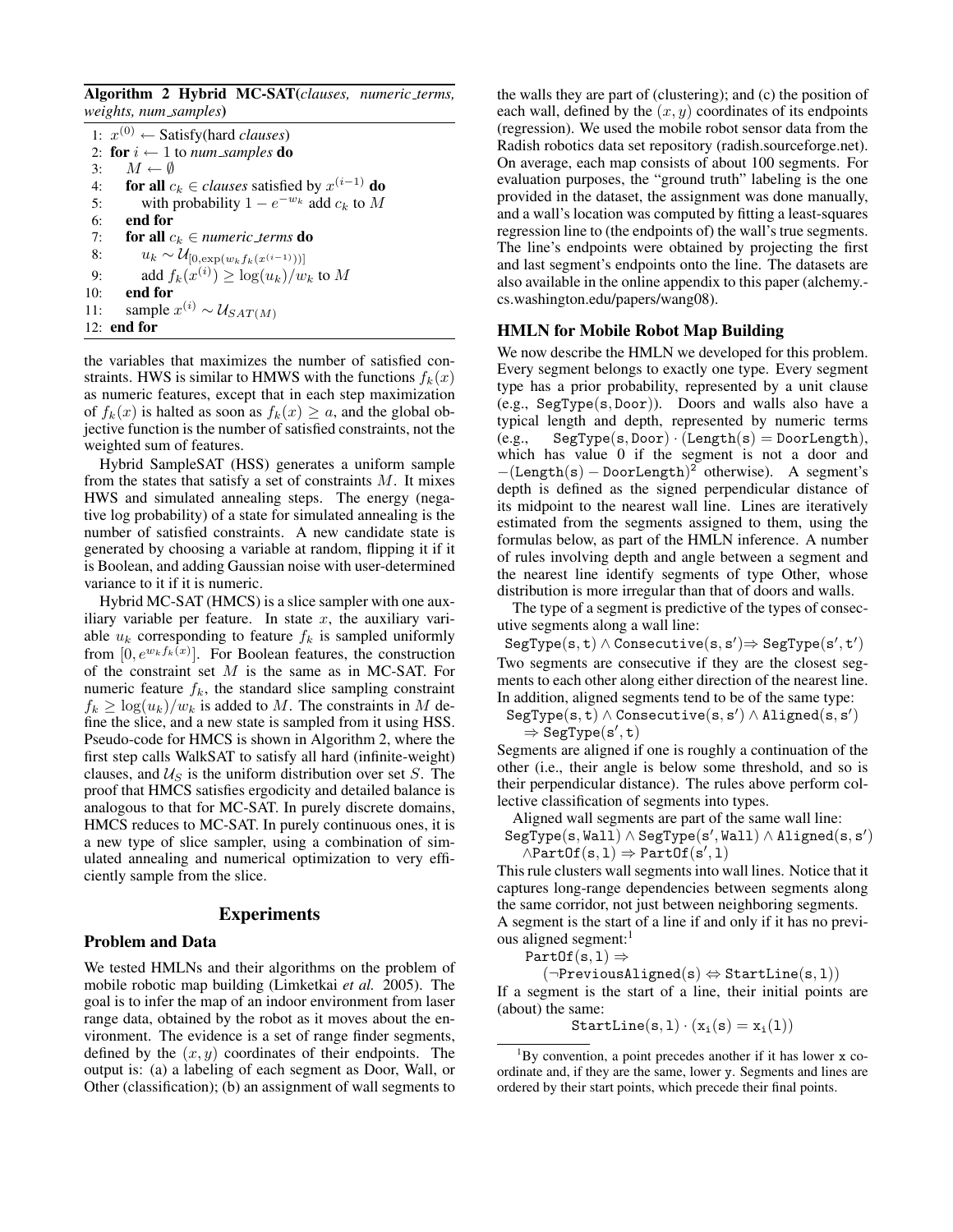Algorithm 2 Hybrid MC-SAT(*clauses, numeric terms, weights, num samples*)

|     | 1: $x^{(0)} \leftarrow$ Satisfy(hard <i>clauses</i> ) |
|-----|-------------------------------------------------------|
|     | 2: for $i \leftarrow 1$ to num_samples do             |
| 3:  | $M \leftarrow \emptyset$                              |
| 4:  | for all $c_k \in clauses$ satisfied by $x^{(i-1)}$ do |
| 5:  | with probability $1 - e^{-w_k}$ add $c_k$ to M        |
| 6:  | end for                                               |
| 7:  | <b>for all</b> $c_k \in$ numeric_terms <b>do</b>      |
| 8:  | $u_k \sim \mathcal{U}_{[0,\exp(w_k f_k(x^{(i-1)}))]$  |
| 9:  | add $f_k(x^{(i)}) \geq \log(u_k)/w_k$ to M            |
| 10: | end for                                               |
| 11: | sample $x^{(i)} \sim \mathcal{U}_{SAT(M)}$            |
|     | $12:$ end for                                         |

the variables that maximizes the number of satisfied constraints. HWS is similar to HMWS with the functions  $f_k(x)$ as numeric features, except that in each step maximization of  $f_k(x)$  is halted as soon as  $f_k(x) \ge a$ , and the global objective function is the number of satisfied constraints, not the weighted sum of features.

Hybrid SampleSAT (HSS) generates a uniform sample from the states that satisfy a set of constraints  $M$ . It mixes HWS and simulated annealing steps. The energy (negative log probability) of a state for simulated annealing is the number of satisfied constraints. A new candidate state is generated by choosing a variable at random, flipping it if it is Boolean, and adding Gaussian noise with user-determined variance to it if it is numeric.

Hybrid MC-SAT (HMCS) is a slice sampler with one auxiliary variable per feature. In state  $x$ , the auxiliary variable  $u_k$  corresponding to feature  $f_k$  is sampled uniformly from  $[0, e^{w_k f_k(x)}]$ . For Boolean features, the construction of the constraint set M is the same as in MC-SAT. For numeric feature  $f_k$ , the standard slice sampling constraint  $f_k \geq \log(u_k)/w_k$  is added to M. The constraints in M define the slice, and a new state is sampled from it using HSS. Pseudo-code for HMCS is shown in Algorithm 2, where the first step calls WalkSAT to satisfy all hard (infinite-weight) clauses, and  $\mathcal{U}_S$  is the uniform distribution over set S. The proof that HMCS satisfies ergodicity and detailed balance is analogous to that for MC-SAT. In purely discrete domains, HMCS reduces to MC-SAT. In purely continuous ones, it is a new type of slice sampler, using a combination of simulated annealing and numerical optimization to very efficiently sample from the slice.

### Experiments

## Problem and Data

We tested HMLNs and their algorithms on the problem of mobile robotic map building (Limketkai *et al.* 2005). The goal is to infer the map of an indoor environment from laser range data, obtained by the robot as it moves about the environment. The evidence is a set of range finder segments, defined by the  $(x, y)$  coordinates of their endpoints. The output is: (a) a labeling of each segment as Door, Wall, or Other (classification); (b) an assignment of wall segments to the walls they are part of (clustering); and (c) the position of each wall, defined by the  $(x, y)$  coordinates of its endpoints (regression). We used the mobile robot sensor data from the Radish robotics data set repository (radish.sourceforge.net). On average, each map consists of about 100 segments. For evaluation purposes, the "ground truth" labeling is the one provided in the dataset, the assignment was done manually, and a wall's location was computed by fitting a least-squares regression line to (the endpoints of) the wall's true segments. The line's endpoints were obtained by projecting the first and last segment's endpoints onto the line. The datasets are also available in the online appendix to this paper (alchemy. cs.washington.edu/papers/wang08).

# HMLN for Mobile Robot Map Building

We now describe the HMLN we developed for this problem. Every segment belongs to exactly one type. Every segment type has a prior probability, represented by a unit clause (e.g., SegType(s, Door)). Doors and walls also have a typical length and depth, represented by numeric terms  $(e.g.,$  SegType(s, Door)  $\cdot$  (Length(s) = DoorLength), which has value 0 if the segment is not a door and  $-(\text{Length}(s) - \text{DoorLength})^2$  otherwise). A segment's depth is defined as the signed perpendicular distance of its midpoint to the nearest wall line. Lines are iteratively estimated from the segments assigned to them, using the formulas below, as part of the HMLN inference. A number of rules involving depth and angle between a segment and the nearest line identify segments of type Other, whose distribution is more irregular than that of doors and walls.

The type of a segment is predictive of the types of consecutive segments along a wall line:

 $\texttt{SegType}(\texttt{s}, \texttt{t}) \wedge \texttt{Consecutive}(\texttt{s}, \texttt{s}') \Rightarrow \texttt{SegType}(\texttt{s}', \texttt{t}')$ Two segments are consecutive if they are the closest segments to each other along either direction of the nearest line. In addition, aligned segments tend to be of the same type:

 $\texttt{SegType}(\mathbf{s}, \mathbf{t}) \wedge \texttt{Consecutive}(\mathbf{s}, \mathbf{s}') \wedge \texttt{Aligned}(\mathbf{s}, \mathbf{s}')$  $\Rightarrow$  SegType(s', t)

Segments are aligned if one is roughly a continuation of the other (i.e., their angle is below some threshold, and so is their perpendicular distance). The rules above perform collective classification of segments into types.

Aligned wall segments are part of the same wall line:

 $\texttt{SegType}(\texttt{s}, \texttt{Wall}) \wedge \texttt{SegType}(\texttt{s}', \texttt{Wall}) \wedge \texttt{aligned}(\texttt{s}, \texttt{s}')$  $\land$ PartOf(s, 1)  $\Rightarrow$  PartOf(s', 1)

This rule clusters wall segments into wall lines. Notice that it captures long-range dependencies between segments along the same corridor, not just between neighboring segments. A segment is the start of a line if and only if it has no previous aligned segment:<sup>1</sup>

PartOf(s, 1)  $\Rightarrow$ 

 $(\neg$ PreviousAligned(s)  $\Leftrightarrow$  StartLine(s, 1))

If a segment is the start of a line, their initial points are (about) the same:

 $StartLine(s, 1) \cdot (x_i(s) = x_i(1))$ 

 ${}^{1}$ By convention, a point precedes another if it has lower x coordinate and, if they are the same, lower y. Segments and lines are ordered by their start points, which precede their final points.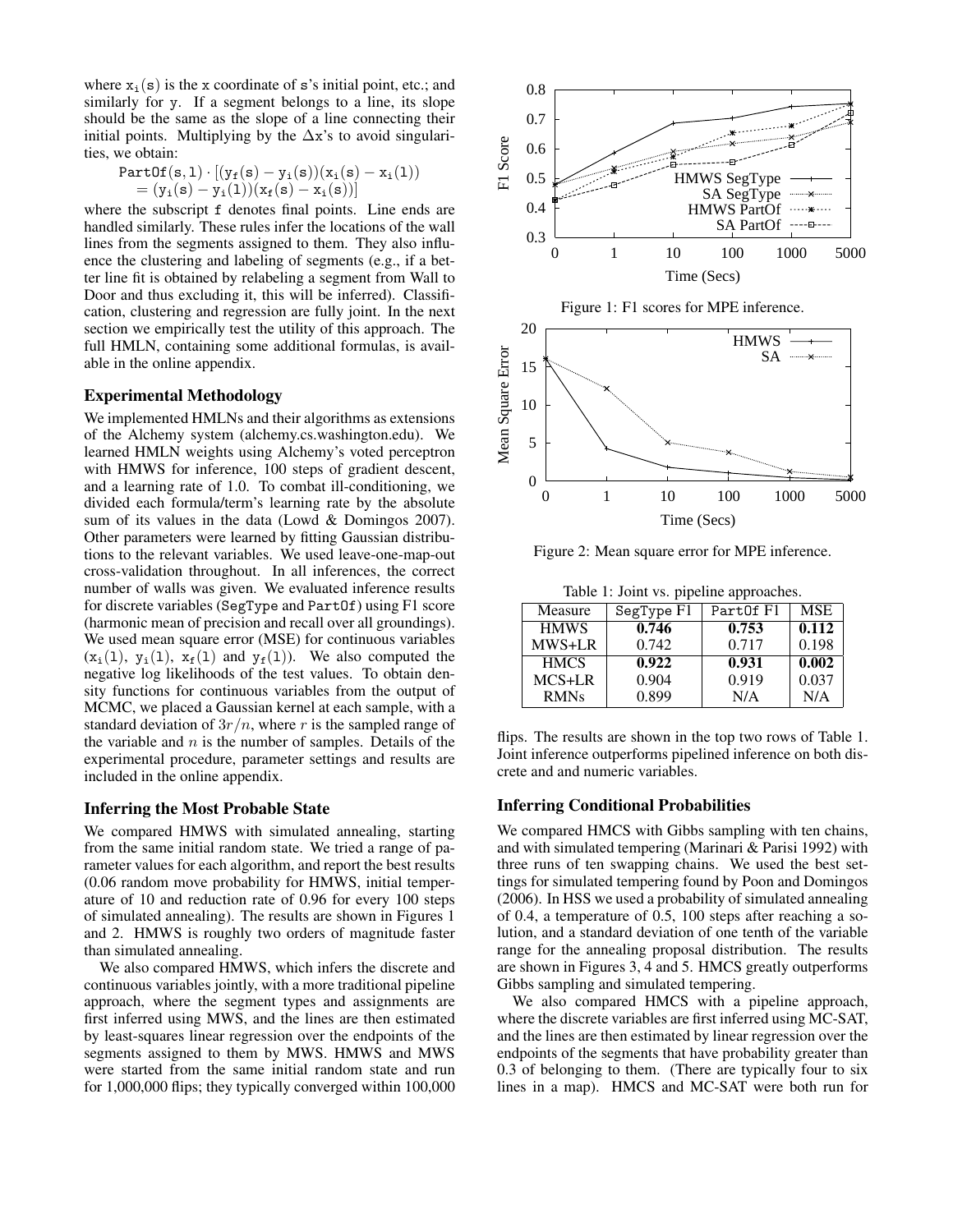where  $x_i(s)$  is the x coordinate of s's initial point, etc.; and similarly for y. If a segment belongs to a line, its slope should be the same as the slope of a line connecting their initial points. Multiplying by the  $\Delta x$ 's to avoid singularities, we obtain:

$$
\begin{matrix}\texttt{PartOf}(\mathbf{s}, \mathbf{1}) \cdot [(\mathbf{y_f}(\mathbf{s}) - \mathbf{y_i}(\mathbf{s}))(\mathbf{x_i}(\mathbf{s}) - \mathbf{x_i}(1)) \\ = (\mathbf{y_i}(\mathbf{s}) - \mathbf{y_i}(1))(\mathbf{x_f}(\mathbf{s}) - \mathbf{x_i}(\mathbf{s}))]\end{matrix}
$$

where the subscript f denotes final points. Line ends are handled similarly. These rules infer the locations of the wall lines from the segments assigned to them. They also influence the clustering and labeling of segments (e.g., if a better line fit is obtained by relabeling a segment from Wall to Door and thus excluding it, this will be inferred). Classification, clustering and regression are fully joint. In the next section we empirically test the utility of this approach. The full HMLN, containing some additional formulas, is available in the online appendix.

#### Experimental Methodology

We implemented HMLNs and their algorithms as extensions of the Alchemy system (alchemy.cs.washington.edu). We learned HMLN weights using Alchemy's voted perceptron with HMWS for inference, 100 steps of gradient descent, and a learning rate of 1.0. To combat ill-conditioning, we divided each formula/term's learning rate by the absolute sum of its values in the data (Lowd & Domingos 2007). Other parameters were learned by fitting Gaussian distributions to the relevant variables. We used leave-one-map-out cross-validation throughout. In all inferences, the correct number of walls was given. We evaluated inference results for discrete variables (SegType and PartOf) using F1 score (harmonic mean of precision and recall over all groundings). We used mean square error (MSE) for continuous variables  $(x_i(1), y_i(1), x_f(1)$  and  $y_f(1)$ ). We also computed the negative log likelihoods of the test values. To obtain density functions for continuous variables from the output of MCMC, we placed a Gaussian kernel at each sample, with a standard deviation of  $3r/n$ , where r is the sampled range of the variable and  $n$  is the number of samples. Details of the experimental procedure, parameter settings and results are included in the online appendix.

#### Inferring the Most Probable State

We compared HMWS with simulated annealing, starting from the same initial random state. We tried a range of parameter values for each algorithm, and report the best results (0.06 random move probability for HMWS, initial temperature of 10 and reduction rate of 0.96 for every 100 steps of simulated annealing). The results are shown in Figures 1 and 2. HMWS is roughly two orders of magnitude faster than simulated annealing.

We also compared HMWS, which infers the discrete and continuous variables jointly, with a more traditional pipeline approach, where the segment types and assignments are first inferred using MWS, and the lines are then estimated by least-squares linear regression over the endpoints of the segments assigned to them by MWS. HMWS and MWS were started from the same initial random state and run for 1,000,000 flips; they typically converged within 100,000



Figure 2: Mean square error for MPE inference.

| Table 1: Joint vs. pipeline approaches. |            |           |            |  |  |
|-----------------------------------------|------------|-----------|------------|--|--|
| Measure                                 | SegType F1 | PartOf F1 | <b>MSE</b> |  |  |
| <b>HMWS</b>                             | 0.746      | 0.753     | 0.112      |  |  |
| MWS+LR                                  | 0.742      | 0.717     | 0.198      |  |  |
| <b>HMCS</b>                             | 0.922      | 0.931     | 0.002      |  |  |
| MCS+LR                                  | 0.904      | 0.919     | 0.037      |  |  |
| <b>RMNs</b>                             | 0.899      | N/A       | N/A        |  |  |

flips. The results are shown in the top two rows of Table 1. Joint inference outperforms pipelined inference on both discrete and and numeric variables.

#### Inferring Conditional Probabilities

We compared HMCS with Gibbs sampling with ten chains, and with simulated tempering (Marinari & Parisi 1992) with three runs of ten swapping chains. We used the best settings for simulated tempering found by Poon and Domingos (2006). In HSS we used a probability of simulated annealing of 0.4, a temperature of 0.5, 100 steps after reaching a solution, and a standard deviation of one tenth of the variable range for the annealing proposal distribution. The results are shown in Figures 3, 4 and 5. HMCS greatly outperforms Gibbs sampling and simulated tempering.

We also compared HMCS with a pipeline approach, where the discrete variables are first inferred using MC-SAT, and the lines are then estimated by linear regression over the endpoints of the segments that have probability greater than 0.3 of belonging to them. (There are typically four to six lines in a map). HMCS and MC-SAT were both run for